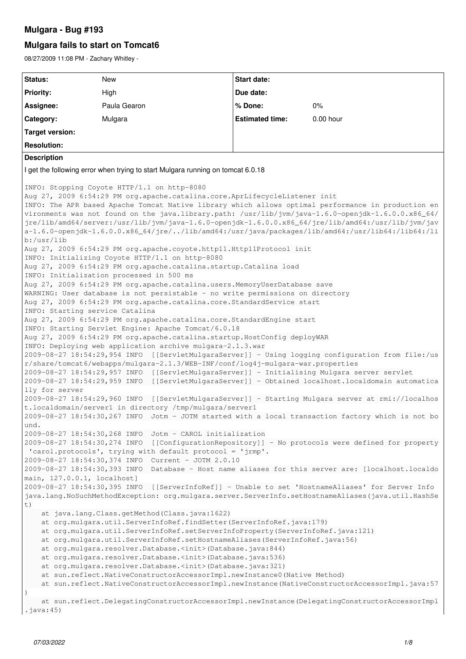## **Mulgara - Bug #193**

## **Mulgara fails to start on Tomcat6**

08/27/2009 11:08 PM - Zachary Whitley -

```
Status: New New Status: New New Start date:
Priority: High High Due date:
Assignee: Paula Gearon % Done: 0%
Category: Estimated time: 0.00 hour Estimated time: 0.00 hour
Target version:
Resolution:
Description
I get the following error when trying to start Mulgara running on tomcat 6.0.18
INFO: Stopping Coyote HTTP/1.1 on http-8080
Aug 27, 2009 6:54:29 PM org.apache.catalina.core.AprLifecycleListener init
INFO: The APR based Apache Tomcat Native library which allows optimal performance in production en
vironments was not found on the java.library.path: /usr/lib/jvm/java-1.6.0-openjdk-1.6.0.0.x86_64/
jre/lib/amd64/server:/usr/lib/jvm/java-1.6.0-openjdk-1.6.0.0.x86_64/jre/lib/amd64:/usr/lib/jvm/jav
a-1.6.0-openjdk-1.6.0.0.x86_64/jre/../lib/amd64:/usr/java/packages/lib/amd64:/usr/lib64:/lib64:/li
b:/usr/lib
Aug 27, 2009 6:54:29 PM org.apache.coyote.http11.Http11Protocol init
INFO: Initializing Coyote HTTP/1.1 on http-8080
Aug 27, 2009 6:54:29 PM org.apache.catalina.startup.Catalina load
INFO: Initialization processed in 500 ms
Aug 27, 2009 6:54:29 PM org.apache.catalina.users.MemoryUserDatabase save
WARNING: User database is not persistable - no write permissions on directory
Aug 27, 2009 6:54:29 PM org.apache.catalina.core.StandardService start
INFO: Starting service Catalina
Aug 27, 2009 6:54:29 PM org.apache.catalina.core.StandardEngine start
INFO: Starting Servlet Engine: Apache Tomcat/6.0.18
Aug 27, 2009 6:54:29 PM org.apache.catalina.startup.HostConfig deployWAR
INFO: Deploying web application archive mulgara-2.1.3.war
2009-08-27 18:54:29,954 INFO  [[ServletMulgaraServer]] - Using logging configuration from file:/us
r/share/tomcat6/webapps/mulgara-2.1.3/WEB-INF/conf/log4j-mulgara-war.properties
2009-08-27 18:54:29,957 INFO  [[ServletMulgaraServer]] - Initialising Mulgara server servlet
2009-08-27 18:54:29,959 INFO  [[ServletMulgaraServer]] - Obtained localhost.localdomain automatica
lly for server
2009-08-27 18:54:29,960 INFO  [[ServletMulgaraServer]] - Starting Mulgara server at rmi://localhos
t.localdomain/server1 in directory /tmp/mulgara/server1
2009-08-27 18:54:30,267 INFO  Jotm - JOTM started with a local transaction factory which is not bo
und.
2009-08-27 18:54:30,268 INFO  Jotm - CAROL initialization
2009-08-27 18:54:30,274 INFO  [[ConfigurationRepository]] - No protocols were defined for property
 'carol.protocols', trying with default protocol = 'jrmp'.
2009-08-27 18:54:30,374 INFO  Current - JOTM 2.0.10
2009-08-27 18:54:30,393 INFO  Database - Host name aliases for this server are: [localhost.localdo
main, 127.0.0.1, localhost]
2009-08-27 18:54:30,395 INFO  [[ServerInfoRef]] - Unable to set 'HostnameAliases' for Server Info
java.lang.NoSuchMethodException: org.mulgara.server.ServerInfo.setHostnameAliases(java.util.HashSe
t)
        at java.lang.Class.getMethod(Class.java:1622)
        at org.mulgara.util.ServerInfoRef.findSetter(ServerInfoRef.java:179)
        at org.mulgara.util.ServerInfoRef.setServerInfoProperty(ServerInfoRef.java:121)
        at org.mulgara.util.ServerInfoRef.setHostnameAliases(ServerInfoRef.java:56)
        at org.mulgara.resolver.Database.<init>(Database.java:844)
        at org.mulgara.resolver.Database.<init>(Database.java:536)
        at org.mulgara.resolver.Database.<init>(Database.java:321)
        at sun.reflect.NativeConstructorAccessorImpl.newInstance0(Native Method)
        at sun.reflect.NativeConstructorAccessorImpl.newInstance(NativeConstructorAccessorImpl.java:57
)
        at sun.reflect.DelegatingConstructorAccessorImpl.newInstance(DelegatingConstructorAccessorImpl
.iava:45)
```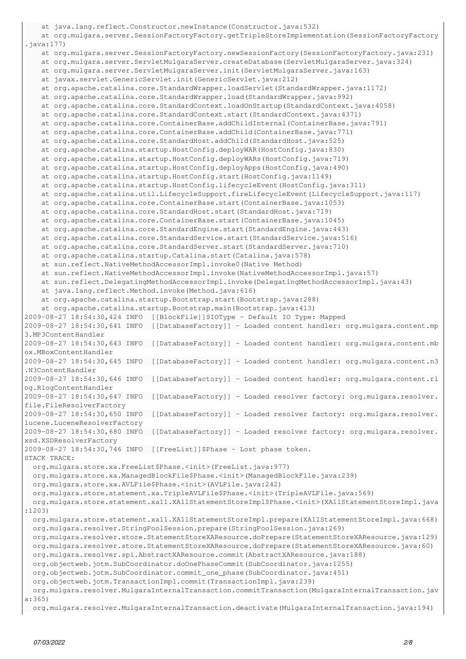```
    at java.lang.reflect.Constructor.newInstance(Constructor.java:532)
        at org.mulgara.server.SessionFactoryFactory.getTripleStoreImplementation(SessionFactoryFactory
.java:177)
        at org.mulgara.server.SessionFactoryFactory.newSessionFactory(SessionFactoryFactory.java:231)
        at org.mulgara.server.ServletMulgaraServer.createDatabase(ServletMulgaraServer.java:324)
        at org.mulgara.server.ServletMulgaraServer.init(ServletMulgaraServer.java:163)
        at javax.servlet.GenericServlet.init(GenericServlet.java:212)
        at org.apache.catalina.core.StandardWrapper.loadServlet(StandardWrapper.java:1172)
        at org.apache.catalina.core.StandardWrapper.load(StandardWrapper.java:992)
        at org.apache.catalina.core.StandardContext.loadOnStartup(StandardContext.java:4058)
        at org.apache.catalina.core.StandardContext.start(StandardContext.java:4371)
        at org.apache.catalina.core.ContainerBase.addChildInternal(ContainerBase.java:791)
        at org.apache.catalina.core.ContainerBase.addChild(ContainerBase.java:771)
        at org.apache.catalina.core.StandardHost.addChild(StandardHost.java:525)
        at org.apache.catalina.startup.HostConfig.deployWAR(HostConfig.java:830)
        at org.apache.catalina.startup.HostConfig.deployWARs(HostConfig.java:719)
        at org.apache.catalina.startup.HostConfig.deployApps(HostConfig.java:490)
        at org.apache.catalina.startup.HostConfig.start(HostConfig.java:1149)
        at org.apache.catalina.startup.HostConfig.lifecycleEvent(HostConfig.java:311)
        at org.apache.catalina.util.LifecycleSupport.fireLifecycleEvent(LifecycleSupport.java:117)
        at org.apache.catalina.core.ContainerBase.start(ContainerBase.java:1053)
        at org.apache.catalina.core.StandardHost.start(StandardHost.java:719)
    at org.apache.catalina.core.ContainerBase.start(ContainerBase.java:1045)
        at org.apache.catalina.core.StandardEngine.start(StandardEngine.java:443)
        at org.apache.catalina.core.StandardService.start(StandardService.java:516)
        at org.apache.catalina.core.StandardServer.start(StandardServer.java:710)
        at org.apache.catalina.startup.Catalina.start(Catalina.java:578)
        at sun.reflect.NativeMethodAccessorImpl.invoke0(Native Method)
        at sun.reflect.NativeMethodAccessorImpl.invoke(NativeMethodAccessorImpl.java:57)
        at sun.reflect.DelegatingMethodAccessorImpl.invoke(DelegatingMethodAccessorImpl.java:43)
        at java.lang.reflect.Method.invoke(Method.java:616)
        at org.apache.catalina.startup.Bootstrap.start(Bootstrap.java:288)
        at org.apache.catalina.startup.Bootstrap.main(Bootstrap.java:413)
2009-08-27 18:54:30,424 INFO  [[BlockFile]]$IOType - Default IO Type: Mapped
2009-08-27 18:54:30,641 INFO  [[DatabaseFactory]] - Loaded content handler: org.mulgara.content.mp
3.MP3ContentHandler
2009-08-27 18:54:30,643 INFO  [[DatabaseFactory]] - Loaded content handler: org.mulgara.content.mb
ox.MBoxContentHandler
2009-08-27 18:54:30,645 INFO  [[DatabaseFactory]] - Loaded content handler: org.mulgara.content.n3
.N3ContentHandler
2009-08-27 18:54:30,646 INFO  [[DatabaseFactory]] - Loaded content handler: org.mulgara.content.rl
og.RlogContentHandler
2009-08-27 18:54:30,647 INFO  [[DatabaseFactory]] - Loaded resolver factory: org.mulgara.resolver.
file.FileResolverFactory
2009-08-27 18:54:30,650 INFO  [[DatabaseFactory]] - Loaded resolver factory: org.mulgara.resolver.
lucene.LuceneResolverFactory
2009-08-27 18:54:30,680 INFO  [[DatabaseFactory]] - Loaded resolver factory: org.mulgara.resolver.
xsd.XSDResolverFactory
2009-08-27 18:54:30,746 INFO  [[FreeList]]$Phase - Lost phase token.
STACK TRACE:
    org.mulgara.store.xa.FreeList$Phase.<init>(FreeList.java:977)
    org.mulgara.store.xa.ManagedBlockFile$Phase.<init>(ManagedBlockFile.java:239)
    org.mulgara.store.xa.AVLFile$Phase.<init>(AVLFile.java:242)
    org.mulgara.store.statement.xa.TripleAVLFile$Phase.<init>(TripleAVLFile.java:569)
    org.mulgara.store.statement.xa11.XA11StatementStoreImpl$Phase.<init>(XA11StatementStoreImpl.java
:1203)
    org.mulgara.store.statement.xa11.XA11StatementStoreImpl.prepare(XA11StatementStoreImpl.java:668)
    org.mulgara.resolver.StringPoolSession.prepare(StringPoolSession.java:269)
    org.mulgara.resolver.store.StatementStoreXAResource.doPrepare(StatementStoreXAResource.java:129)
   org.mulgara.resolver.store.StatementStoreXAResource.doPrepare(StatementStoreXAResource.java:60)
   org.mulgara.resolver.spi.AbstractXAResource.commit(AbstractXAResource.java:188)
   org.objectweb.jotm.SubCoordinator.doOnePhaseCommit(SubCoordinator.java:1255)
   org.objectweb.jotm.SubCoordinator.commit_one_phase(SubCoordinator.java:451)
    org.objectweb.jotm.TransactionImpl.commit(TransactionImpl.java:239)
    org.mulgara.resolver.MulgaraInternalTransaction.commitTransaction(MulgaraInternalTransaction.jav
a:365)
    org.mulgara.resolver.MulgaraInternalTransaction.deactivate(MulgaraInternalTransaction.java:194)
```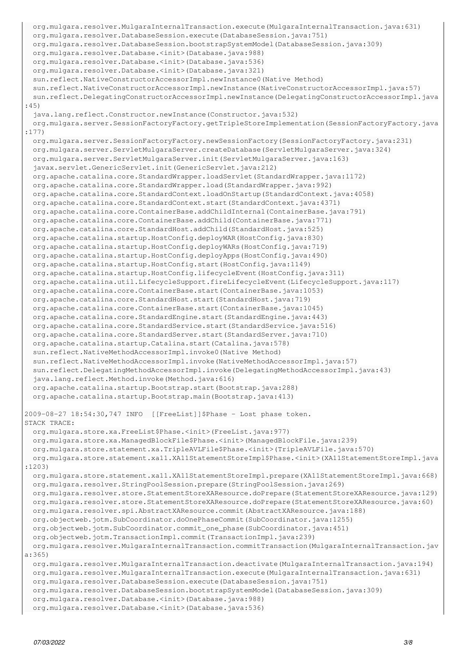```
  org.mulgara.resolver.MulgaraInternalTransaction.execute(MulgaraInternalTransaction.java:631)
    org.mulgara.resolver.DatabaseSession.execute(DatabaseSession.java:751)
    org.mulgara.resolver.DatabaseSession.bootstrapSystemModel(DatabaseSession.java:309)
   org.mulgara.resolver.Database.<init>(Database.java:988)
   org.mulgara.resolver.Database.<init>(Database.java:536)
   org.mulgara.resolver.Database.<init>(Database.java:321)
   sun.reflect.NativeConstructorAccessorImpl.newInstance0(Native Method)
    sun.reflect.NativeConstructorAccessorImpl.newInstance(NativeConstructorAccessorImpl.java:57)
    sun.reflect.DelegatingConstructorAccessorImpl.newInstance(DelegatingConstructorAccessorImpl.java
:45)
    java.lang.reflect.Constructor.newInstance(Constructor.java:532)
   org.mulgara.server.SessionFactoryFactory.getTripleStoreImplementation(SessionFactoryFactory.java
:177)
   org.mulgara.server.SessionFactoryFactory.newSessionFactory(SessionFactoryFactory.java:231)
   org.mulgara.server.ServletMulgaraServer.createDatabase(ServletMulgaraServer.java:324)
   org.mulgara.server.ServletMulgaraServer.init(ServletMulgaraServer.java:163)
    javax.servlet.GenericServlet.init(GenericServlet.java:212)
   org.apache.catalina.core.StandardWrapper.loadServlet(StandardWrapper.java:1172)
   org.apache.catalina.core.StandardWrapper.load(StandardWrapper.java:992)
   org.apache.catalina.core.StandardContext.loadOnStartup(StandardContext.java:4058)
   org.apache.catalina.core.StandardContext.start(StandardContext.java:4371)
   org.apache.catalina.core.ContainerBase.addChildInternal(ContainerBase.java:791)
   org.apache.catalina.core.ContainerBase.addChild(ContainerBase.java:771)
   org.apache.catalina.core.StandardHost.addChild(StandardHost.java:525)
   org.apache.catalina.startup.HostConfig.deployWAR(HostConfig.java:830)
   org.apache.catalina.startup.HostConfig.deployWARs(HostConfig.java:719)
   org.apache.catalina.startup.HostConfig.deployApps(HostConfig.java:490)
   org.apache.catalina.startup.HostConfig.start(HostConfig.java:1149)
   org.apache.catalina.startup.HostConfig.lifecycleEvent(HostConfig.java:311)
   org.apache.catalina.util.LifecycleSupport.fireLifecycleEvent(LifecycleSupport.java:117)
   org.apache.catalina.core.ContainerBase.start(ContainerBase.java:1053)
   org.apache.catalina.core.StandardHost.start(StandardHost.java:719)
   org.apache.catalina.core.ContainerBase.start(ContainerBase.java:1045)
   org.apache.catalina.core.StandardEngine.start(StandardEngine.java:443)
   org.apache.catalina.core.StandardService.start(StandardService.java:516)
   org.apache.catalina.core.StandardServer.start(StandardServer.java:710)
   org.apache.catalina.startup.Catalina.start(Catalina.java:578)
   sun.reflect.NativeMethodAccessorImpl.invoke0(Native Method)
   sun.reflect.NativeMethodAccessorImpl.invoke(NativeMethodAccessorImpl.java:57)
   sun.reflect.DelegatingMethodAccessorImpl.invoke(DelegatingMethodAccessorImpl.java:43)
    java.lang.reflect.Method.invoke(Method.java:616)
    org.apache.catalina.startup.Bootstrap.start(Bootstrap.java:288)
   org.apache.catalina.startup.Bootstrap.main(Bootstrap.java:413)
2009-08-27 18:54:30,747 INFO  [[FreeList]]$Phase - Lost phase token.
STACK TRACE:
   org.mulgara.store.xa.FreeList$Phase.<init>(FreeList.java:977)
    org.mulgara.store.xa.ManagedBlockFile$Phase.<init>(ManagedBlockFile.java:239)
    org.mulgara.store.statement.xa.TripleAVLFile$Phase.<init>(TripleAVLFile.java:570)
   org.mulgara.store.statement.xa11.XA11StatementStoreImpl$Phase.<init>(XA11StatementStoreImpl.java
:1203)
   org.mulgara.store.statement.xa11.XA11StatementStoreImpl.prepare(XA11StatementStoreImpl.java:668)
    org.mulgara.resolver.StringPoolSession.prepare(StringPoolSession.java:269)
   org.mulgara.resolver.store.StatementStoreXAResource.doPrepare(StatementStoreXAResource.java:129)
   org.mulgara.resolver.store.StatementStoreXAResource.doPrepare(StatementStoreXAResource.java:60)
   org.mulgara.resolver.spi.AbstractXAResource.commit(AbstractXAResource.java:188)
   org.objectweb.jotm.SubCoordinator.doOnePhaseCommit(SubCoordinator.java:1255)
   org.objectweb.jotm.SubCoordinator.commit_one_phase(SubCoordinator.java:451)
   org.objectweb.jotm.TransactionImpl.commit(TransactionImpl.java:239)
   org.mulgara.resolver.MulgaraInternalTransaction.commitTransaction(MulgaraInternalTransaction.jav
a:365)
    org.mulgara.resolver.MulgaraInternalTransaction.deactivate(MulgaraInternalTransaction.java:194)
    org.mulgara.resolver.MulgaraInternalTransaction.execute(MulgaraInternalTransaction.java:631)
    org.mulgara.resolver.DatabaseSession.execute(DatabaseSession.java:751)
    org.mulgara.resolver.DatabaseSession.bootstrapSystemModel(DatabaseSession.java:309)
    org.mulgara.resolver.Database.<init>(Database.java:988)
    org.mulgara.resolver.Database.<init>(Database.java:536)
```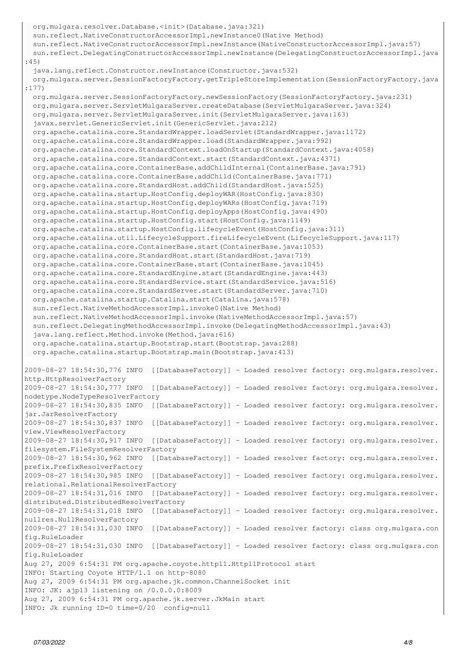```
  org.mulgara.resolver.Database.<init>(Database.java:321)
    sun.reflect.NativeConstructorAccessorImpl.newInstance0(Native Method)
    sun.reflect.NativeConstructorAccessorImpl.newInstance(NativeConstructorAccessorImpl.java:57)
    sun.reflect.DelegatingConstructorAccessorImpl.newInstance(DelegatingConstructorAccessorImpl.java
:45)
    java.lang.reflect.Constructor.newInstance(Constructor.java:532)
   org.mulgara.server.SessionFactoryFactory.getTripleStoreImplementation(SessionFactoryFactory.java
:177)
   org.mulgara.server.SessionFactoryFactory.newSessionFactory(SessionFactoryFactory.java:231)
   org.mulgara.server.ServletMulgaraServer.createDatabase(ServletMulgaraServer.java:324)
   org.mulgara.server.ServletMulgaraServer.init(ServletMulgaraServer.java:163)
   javax.servlet.GenericServlet.init(GenericServlet.java:212)
   org.apache.catalina.core.StandardWrapper.loadServlet(StandardWrapper.java:1172)
   org.apache.catalina.core.StandardWrapper.load(StandardWrapper.java:992)
   org.apache.catalina.core.StandardContext.loadOnStartup(StandardContext.java:4058)
   org.apache.catalina.core.StandardContext.start(StandardContext.java:4371)
   org.apache.catalina.core.ContainerBase.addChildInternal(ContainerBase.java:791)
   org.apache.catalina.core.ContainerBase.addChild(ContainerBase.java:771)
   org.apache.catalina.core.StandardHost.addChild(StandardHost.java:525)
   org.apache.catalina.startup.HostConfig.deployWAR(HostConfig.java:830)
   org.apache.catalina.startup.HostConfig.deployWARs(HostConfig.java:719)
   org.apache.catalina.startup.HostConfig.deployApps(HostConfig.java:490)
   org.apache.catalina.startup.HostConfig.start(HostConfig.java:1149)
   org.apache.catalina.startup.HostConfig.lifecycleEvent(HostConfig.java:311)
   org.apache.catalina.util.LifecycleSupport.fireLifecycleEvent(LifecycleSupport.java:117)
   org.apache.catalina.core.ContainerBase.start(ContainerBase.java:1053)
   org.apache.catalina.core.StandardHost.start(StandardHost.java:719)
   org.apache.catalina.core.ContainerBase.start(ContainerBase.java:1045)
   org.apache.catalina.core.StandardEngine.start(StandardEngine.java:443)
   org.apache.catalina.core.StandardService.start(StandardService.java:516)
   org.apache.catalina.core.StandardServer.start(StandardServer.java:710)
   org.apache.catalina.startup.Catalina.start(Catalina.java:578)
   sun.reflect.NativeMethodAccessorImpl.invoke0(Native Method)
   sun.reflect.NativeMethodAccessorImpl.invoke(NativeMethodAccessorImpl.java:57)
   sun.reflect.DelegatingMethodAccessorImpl.invoke(DelegatingMethodAccessorImpl.java:43)
    java.lang.reflect.Method.invoke(Method.java:616)
   org.apache.catalina.startup.Bootstrap.start(Bootstrap.java:288)
   org.apache.catalina.startup.Bootstrap.main(Bootstrap.java:413)
2009-08-27 18:54:30,776 INFO  [[DatabaseFactory]] - Loaded resolver factory: org.mulgara.resolver.
http.HttpResolverFactory
2009-08-27 18:54:30,777 INFO  [[DatabaseFactory]] - Loaded resolver factory: org.mulgara.resolver.
nodetype.NodeTypeResolverFactory
2009-08-27 18:54:30,835 INFO  [[DatabaseFactory]] - Loaded resolver factory: org.mulgara.resolver.
jar.JarResolverFactory
2009-08-27 18:54:30,837 INFO  [[DatabaseFactory]] - Loaded resolver factory: org.mulgara.resolver.
view.ViewResolverFactory
2009-08-27 18:54:30,917 INFO  [[DatabaseFactory]] - Loaded resolver factory: org.mulgara.resolver.
filesystem.FileSystemResolverFactory
2009-08-27 18:54:30,962 INFO  [[DatabaseFactory]] - Loaded resolver factory: org.mulgara.resolver.
prefix.PrefixResolverFactory
2009-08-27 18:54:30,985 INFO  [[DatabaseFactory]] - Loaded resolver factory: org.mulgara.resolver.
relational.RelationalResolverFactory
2009-08-27 18:54:31,016 INFO  [[DatabaseFactory]] - Loaded resolver factory: org.mulgara.resolver.
distributed.DistributedResolverFactory
2009-08-27 18:54:31,018 INFO  [[DatabaseFactory]] - Loaded resolver factory: org.mulgara.resolver.
nullres.NullResolverFactory
2009-08-27 18:54:31,030 INFO  [[DatabaseFactory]] - Loaded resolver factory: class org.mulgara.con
fig.RuleLoader
2009-08-27 18:54:31,030 INFO  [[DatabaseFactory]] - Loaded resolver factory: class org.mulgara.con
fig.RuleLoader
Aug 27, 2009 6:54:31 PM org.apache.coyote.http11.Http11Protocol start
INFO: Starting Coyote HTTP/1.1 on http-8080
Aug 27, 2009 6:54:31 PM org.apache.jk.common.ChannelSocket init
INFO: JK: ajp13 listening on /0.0.0.0:8009
Aug 27, 2009 6:54:31 PM org.apache.jk.server.JkMain start
INFO: Jk running ID=0 time=0/20  config=null
```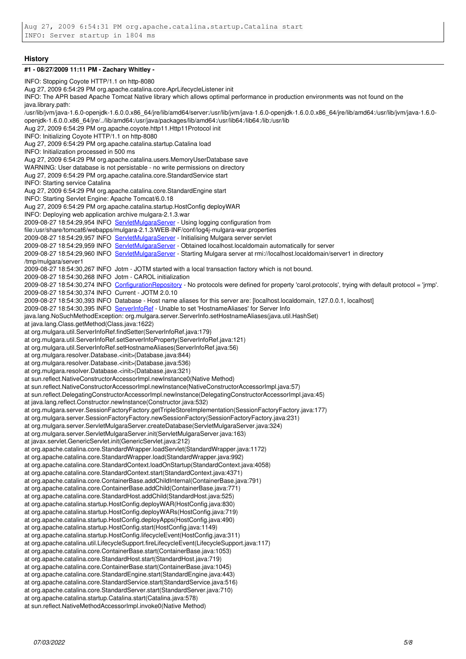### **History**

#### **#1 - 08/27/2009 11:11 PM - Zachary Whitley -**

INFO: Stopping Coyote HTTP/1.1 on http-8080 Aug 27, 2009 6:54:29 PM org.apache.catalina.core.AprLifecycleListener init INFO: The APR based Apache Tomcat Native library which allows optimal performance in production environments was not found on the java.library.path: /usr/lib/jvm/java-1.6.0-openjdk-1.6.0.0.x86\_64/jre/lib/amd64/server:/usr/lib/jvm/java-1.6.0-openjdk-1.6.0.0.x86\_64/jre/lib/amd64:/usr/lib/jvm/java-1.6.0 openjdk-1.6.0.0.x86\_64/jre/../lib/amd64:/usr/java/packages/lib/amd64:/usr/lib64:/lib64:/lib:/usr/lib Aug 27, 2009 6:54:29 PM org.apache.coyote.http11.Http11Protocol init INFO: Initializing Coyote HTTP/1.1 on http-8080 Aug 27, 2009 6:54:29 PM org.apache.catalina.startup.Catalina load INFO: Initialization processed in 500 ms Aug 27, 2009 6:54:29 PM org.apache.catalina.users.MemoryUserDatabase save WARNING: User database is not persistable - no write permissions on directory Aug 27, 2009 6:54:29 PM org.apache.catalina.core.StandardService start INFO: Starting service Catalina Aug 27, 2009 6:54:29 PM org.apache.catalina.core.StandardEngine start INFO: Starting Servlet Engine: Apache Tomcat/6.0.18 Aug 27, 2009 6:54:29 PM org.apache.catalina.startup.HostConfig deployWAR INFO: Deploying web application archive mulgara-2.1.3.war 2009-08-27 18:54:29,954 INFO [ServletMulgaraServer](https://code.mulgara.org/projects/mulgara/wiki/ServletMulgaraServer) - Using logging configuration from file:/usr/share/tomcat6/webapps/mulgara-2.1.3/WEB-INF/conf/log4j-mulgara-war.properties 2009-08-27 18:54:29,957 INFO [ServletMulgaraServer](https://code.mulgara.org/projects/mulgara/wiki/ServletMulgaraServer) - Initialising Mulgara server servlet 2009-08-27 18:54:29,959 INFO [ServletMulgaraServer](https://code.mulgara.org/projects/mulgara/wiki/ServletMulgaraServer) - Obtained localhost.localdomain automatically for server 2009-08-27 18:54:29,960 INFO [ServletMulgaraServer](https://code.mulgara.org/projects/mulgara/wiki/ServletMulgaraServer) - Starting Mulgara server at rmi://localhost.localdomain/server1 in directory /tmp/mulgara/server1 2009-08-27 18:54:30,267 INFO Jotm - JOTM started with a local transaction factory which is not bound. 2009-08-27 18:54:30,268 INFO Jotm - CAROL initialization 2009-08-27 18:54:30,274 INFO [ConfigurationRepository](https://code.mulgara.org/projects/mulgara/wiki/ConfigurationRepository) - No protocols were defined for property 'carol.protocols', trying with default protocol = 'jrmp'. 2009-08-27 18:54:30,374 INFO Current - JOTM 2.0.10 2009-08-27 18:54:30,393 INFO Database - Host name aliases for this server are: [localhost.localdomain, 127.0.0.1, localhost] 2009-08-27 18:54:30,395 INFO [ServerInfoRef](https://code.mulgara.org/projects/mulgara/wiki/ServerInfoRef) - Unable to set 'HostnameAliases' for Server Info java.lang.NoSuchMethodException: org.mulgara.server.ServerInfo.setHostnameAliases(java.util.HashSet) at java.lang.Class.getMethod(Class.java:1622) at org.mulgara.util.ServerInfoRef.findSetter(ServerInfoRef.java:179) at org.mulgara.util.ServerInfoRef.setServerInfoProperty(ServerInfoRef.java:121) at org.mulgara.util.ServerInfoRef.setHostnameAliases(ServerInfoRef.java:56) at org.mulgara.resolver.Database.<init>(Database.java:844) at org.mulgara.resolver.Database.<init>(Database.java:536) at org.mulgara.resolver.Database.<init>(Database.java:321) at sun.reflect.NativeConstructorAccessorImpl.newInstance0(Native Method) at sun.reflect.NativeConstructorAccessorImpl.newInstance(NativeConstructorAccessorImpl.java:57) at sun.reflect.DelegatingConstructorAccessorImpl.newInstance(DelegatingConstructorAccessorImpl.java:45) at java.lang.reflect.Constructor.newInstance(Constructor.java:532) at org.mulgara.server.SessionFactoryFactory.getTripleStoreImplementation(SessionFactoryFactory.java:177) at org.mulgara.server.SessionFactoryFactory.newSessionFactory(SessionFactoryFactory.java:231) at org.mulgara.server.ServletMulgaraServer.createDatabase(ServletMulgaraServer.java:324) at org.mulgara.server.ServletMulgaraServer.init(ServletMulgaraServer.java:163) at javax.servlet.GenericServlet.init(GenericServlet.java:212) at org.apache.catalina.core.StandardWrapper.loadServlet(StandardWrapper.java:1172) at org.apache.catalina.core.StandardWrapper.load(StandardWrapper.java:992) at org.apache.catalina.core.StandardContext.loadOnStartup(StandardContext.java:4058) at org.apache.catalina.core.StandardContext.start(StandardContext.java:4371) at org.apache.catalina.core.ContainerBase.addChildInternal(ContainerBase.java:791) at org.apache.catalina.core.ContainerBase.addChild(ContainerBase.java:771) at org.apache.catalina.core.StandardHost.addChild(StandardHost.java:525) at org.apache.catalina.startup.HostConfig.deployWAR(HostConfig.java:830) at org.apache.catalina.startup.HostConfig.deployWARs(HostConfig.java:719) at org.apache.catalina.startup.HostConfig.deployApps(HostConfig.java:490) at org.apache.catalina.startup.HostConfig.start(HostConfig.java:1149) at org.apache.catalina.startup.HostConfig.lifecycleEvent(HostConfig.java:311) at org.apache.catalina.util.LifecycleSupport.fireLifecycleEvent(LifecycleSupport.java:117) at org.apache.catalina.core.ContainerBase.start(ContainerBase.java:1053) at org.apache.catalina.core.StandardHost.start(StandardHost.java:719) at org.apache.catalina.core.ContainerBase.start(ContainerBase.java:1045) at org.apache.catalina.core.StandardEngine.start(StandardEngine.java:443) at org.apache.catalina.core.StandardService.start(StandardService.java:516) at org.apache.catalina.core.StandardServer.start(StandardServer.java:710) at org.apache.catalina.startup.Catalina.start(Catalina.java:578) at sun.reflect.NativeMethodAccessorImpl.invoke0(Native Method)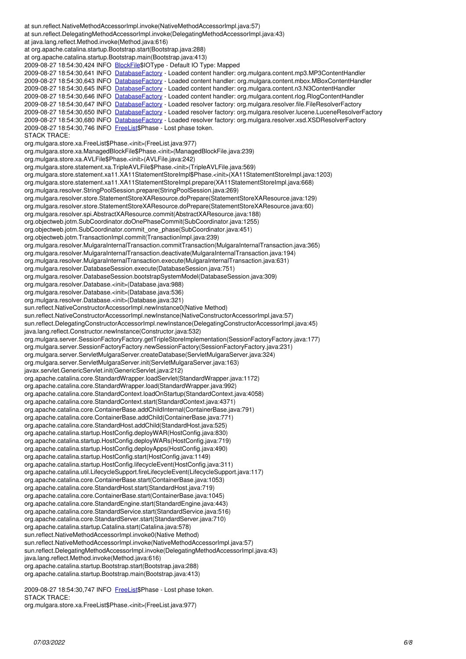at sun.reflect.DelegatingMethodAccessorImpl.invoke(DelegatingMethodAccessorImpl.java:43) at java.lang.reflect.Method.invoke(Method.java:616) at org.apache.catalina.startup.Bootstrap.start(Bootstrap.java:288) at org.apache.catalina.startup.Bootstrap.main(Bootstrap.java:413) 2009-08-27 18:54:30,424 INFO [BlockFile](https://code.mulgara.org/projects/mulgara/wiki/BlockFile)\$IOType - Default IO Type: Mapped 2009-08-27 18:54:30,641 INFO [DatabaseFactory](https://code.mulgara.org/projects/mulgara/wiki/DatabaseFactory) - Loaded content handler: org.mulgara.content.mp3.MP3ContentHandler 2009-08-27 18:54:30,643 INFO [DatabaseFactory](https://code.mulgara.org/projects/mulgara/wiki/DatabaseFactory) - Loaded content handler: org.mulgara.content.mbox.MBoxContentHandler 2009-08-27 18:54:30,645 INFO [DatabaseFactory](https://code.mulgara.org/projects/mulgara/wiki/DatabaseFactory) - Loaded content handler: org.mulgara.content.n3.N3ContentHandler 2009-08-27 18:54:30,646 INFO [DatabaseFactory](https://code.mulgara.org/projects/mulgara/wiki/DatabaseFactory) - Loaded content handler: org.mulgara.content.rlog.RlogContentHandler 2009-08-27 18:54:30,647 INFO [DatabaseFactory](https://code.mulgara.org/projects/mulgara/wiki/DatabaseFactory) - Loaded resolver factory: org.mulgara.resolver.file.FileResolverFactory 2009-08-27 18:54:30,650 INFO [DatabaseFactory](https://code.mulgara.org/projects/mulgara/wiki/DatabaseFactory) - Loaded resolver factory: org.mulgara.resolver.lucene.LuceneResolverFactory 2009-08-27 18:54:30,680 INFO [DatabaseFactory](https://code.mulgara.org/projects/mulgara/wiki/DatabaseFactory) - Loaded resolver factory: org.mulgara.resolver.xsd.XSDResolverFactory 2009-08-27 18:54:30,746 INFO [FreeList\\$](https://code.mulgara.org/projects/mulgara/wiki/FreeList)Phase - Lost phase token. STACK TRACE: org.mulgara.store.xa.FreeList\$Phase.<init>(FreeList.java:977) org.mulgara.store.xa.ManagedBlockFile\$Phase.<init>(ManagedBlockFile.java:239) org.mulgara.store.xa.AVLFile\$Phase.<init>(AVLFile.java:242) org.mulgara.store.statement.xa.TripleAVLFile\$Phase.<init>(TripleAVLFile.java:569) org.mulgara.store.statement.xa11.XA11StatementStoreImpl\$Phase.<init>(XA11StatementStoreImpl.java:1203) org.mulgara.store.statement.xa11.XA11StatementStoreImpl.prepare(XA11StatementStoreImpl.java:668) org.mulgara.resolver.StringPoolSession.prepare(StringPoolSession.java:269) org.mulgara.resolver.store.StatementStoreXAResource.doPrepare(StatementStoreXAResource.java:129) org.mulgara.resolver.store.StatementStoreXAResource.doPrepare(StatementStoreXAResource.java:60) org.mulgara.resolver.spi.AbstractXAResource.commit(AbstractXAResource.java:188) org.objectweb.jotm.SubCoordinator.doOnePhaseCommit(SubCoordinator.java:1255) org.objectweb.jotm.SubCoordinator.commit\_one\_phase(SubCoordinator.java:451) org.objectweb.jotm.TransactionImpl.commit(TransactionImpl.java:239) org.mulgara.resolver.MulgaraInternalTransaction.commitTransaction(MulgaraInternalTransaction.java:365) org.mulgara.resolver.MulgaraInternalTransaction.deactivate(MulgaraInternalTransaction.java:194) org.mulgara.resolver.MulgaraInternalTransaction.execute(MulgaraInternalTransaction.java:631) org.mulgara.resolver.DatabaseSession.execute(DatabaseSession.java:751) org.mulgara.resolver.DatabaseSession.bootstrapSystemModel(DatabaseSession.java:309) org.mulgara.resolver.Database.<init>(Database.java:988) org.mulgara.resolver.Database.<init>(Database.java:536) org.mulgara.resolver.Database.<init>(Database.java:321) sun.reflect.NativeConstructorAccessorImpl.newInstance0(Native Method) sun.reflect.NativeConstructorAccessorImpl.newInstance(NativeConstructorAccessorImpl.java:57) sun.reflect.DelegatingConstructorAccessorImpl.newInstance(DelegatingConstructorAccessorImpl.java:45) java.lang.reflect.Constructor.newInstance(Constructor.java:532) org.mulgara.server.SessionFactoryFactory.getTripleStoreImplementation(SessionFactoryFactory.java:177) org.mulgara.server.SessionFactoryFactory.newSessionFactory(SessionFactoryFactory.java:231) org.mulgara.server.ServletMulgaraServer.createDatabase(ServletMulgaraServer.java:324) org.mulgara.server.ServletMulgaraServer.init(ServletMulgaraServer.java:163) javax.servlet.GenericServlet.init(GenericServlet.java:212) org.apache.catalina.core.StandardWrapper.loadServlet(StandardWrapper.java:1172) org.apache.catalina.core.StandardWrapper.load(StandardWrapper.java:992) org.apache.catalina.core.StandardContext.loadOnStartup(StandardContext.java:4058) org.apache.catalina.core.StandardContext.start(StandardContext.java:4371) org.apache.catalina.core.ContainerBase.addChildInternal(ContainerBase.java:791) org.apache.catalina.core.ContainerBase.addChild(ContainerBase.java:771) org.apache.catalina.core.StandardHost.addChild(StandardHost.java:525) org.apache.catalina.startup.HostConfig.deployWAR(HostConfig.java:830) org.apache.catalina.startup.HostConfig.deployWARs(HostConfig.java:719) org.apache.catalina.startup.HostConfig.deployApps(HostConfig.java:490) org.apache.catalina.startup.HostConfig.start(HostConfig.java:1149) org.apache.catalina.startup.HostConfig.lifecycleEvent(HostConfig.java:311) org.apache.catalina.util.LifecycleSupport.fireLifecycleEvent(LifecycleSupport.java:117) org.apache.catalina.core.ContainerBase.start(ContainerBase.java:1053) org.apache.catalina.core.StandardHost.start(StandardHost.java:719) org.apache.catalina.core.ContainerBase.start(ContainerBase.java:1045) org.apache.catalina.core.StandardEngine.start(StandardEngine.java:443) org.apache.catalina.core.StandardService.start(StandardService.java:516) org.apache.catalina.core.StandardServer.start(StandardServer.java:710) org.apache.catalina.startup.Catalina.start(Catalina.java:578) sun.reflect.NativeMethodAccessorImpl.invoke0(Native Method) sun.reflect.NativeMethodAccessorImpl.invoke(NativeMethodAccessorImpl.java:57) sun.reflect.DelegatingMethodAccessorImpl.invoke(DelegatingMethodAccessorImpl.java:43) java.lang.reflect.Method.invoke(Method.java:616) org.apache.catalina.startup.Bootstrap.start(Bootstrap.java:288) org.apache.catalina.startup.Bootstrap.main(Bootstrap.java:413)

at sun.reflect.NativeMethodAccessorImpl.invoke(NativeMethodAccessorImpl.java:57)

2009-08-27 18:54:30,747 INFO [FreeList\\$](https://code.mulgara.org/projects/mulgara/wiki/FreeList)Phase - Lost phase token. STACK TRACE: org.mulgara.store.xa.FreeList\$Phase.<init>(FreeList.java:977)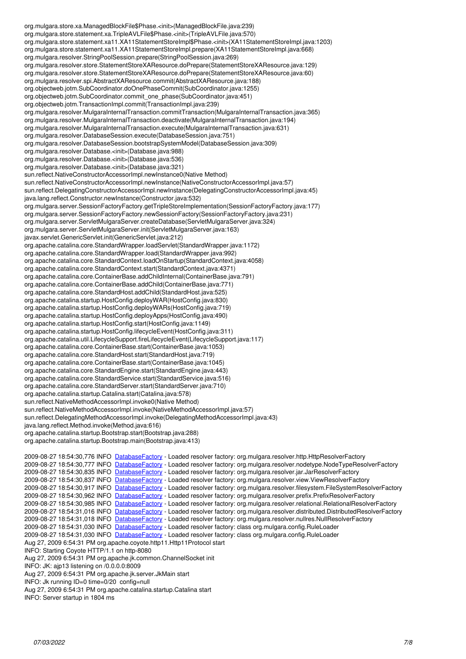org.mulgara.store.xa.ManagedBlockFile\$Phase.<init>(ManagedBlockFile.java:239) org.mulgara.store.statement.xa.TripleAVLFile\$Phase.<init>(TripleAVLFile.java:570) org.mulgara.store.statement.xa11.XA11StatementStoreImpl\$Phase.<init>(XA11StatementStoreImpl.java:1203) org.mulgara.store.statement.xa11.XA11StatementStoreImpl.prepare(XA11StatementStoreImpl.java:668) org.mulgara.resolver.StringPoolSession.prepare(StringPoolSession.java:269) org.mulgara.resolver.store.StatementStoreXAResource.doPrepare(StatementStoreXAResource.java:129) org.mulgara.resolver.store.StatementStoreXAResource.doPrepare(StatementStoreXAResource.java:60) org.mulgara.resolver.spi.AbstractXAResource.commit(AbstractXAResource.java:188) org.objectweb.jotm.SubCoordinator.doOnePhaseCommit(SubCoordinator.java:1255) org.objectweb.jotm.SubCoordinator.commit\_one\_phase(SubCoordinator.java:451) org.objectweb.jotm.TransactionImpl.commit(TransactionImpl.java:239) org.mulgara.resolver.MulgaraInternalTransaction.commitTransaction(MulgaraInternalTransaction.java:365) org.mulgara.resolver.MulgaraInternalTransaction.deactivate(MulgaraInternalTransaction.java:194) org.mulgara.resolver.MulgaraInternalTransaction.execute(MulgaraInternalTransaction.java:631) org.mulgara.resolver.DatabaseSession.execute(DatabaseSession.java:751) org.mulgara.resolver.DatabaseSession.bootstrapSystemModel(DatabaseSession.java:309) org.mulgara.resolver.Database.<init>(Database.java:988) org.mulgara.resolver.Database.<init>(Database.java:536) org.mulgara.resolver.Database.<init>(Database.java:321) sun.reflect.NativeConstructorAccessorImpl.newInstance0(Native Method) sun.reflect.NativeConstructorAccessorImpl.newInstance(NativeConstructorAccessorImpl.java:57) sun.reflect.DelegatingConstructorAccessorImpl.newInstance(DelegatingConstructorAccessorImpl.java:45) java.lang.reflect.Constructor.newInstance(Constructor.java:532) org.mulgara.server.SessionFactoryFactory.getTripleStoreImplementation(SessionFactoryFactory.java:177) org.mulgara.server.SessionFactoryFactory.newSessionFactory(SessionFactoryFactory.java:231) org.mulgara.server.ServletMulgaraServer.createDatabase(ServletMulgaraServer.java:324) org.mulgara.server.ServletMulgaraServer.init(ServletMulgaraServer.java:163) javax.servlet.GenericServlet.init(GenericServlet.java:212) org.apache.catalina.core.StandardWrapper.loadServlet(StandardWrapper.java:1172) org.apache.catalina.core.StandardWrapper.load(StandardWrapper.java:992) org.apache.catalina.core.StandardContext.loadOnStartup(StandardContext.java:4058) org.apache.catalina.core.StandardContext.start(StandardContext.java:4371) org.apache.catalina.core.ContainerBase.addChildInternal(ContainerBase.java:791) org.apache.catalina.core.ContainerBase.addChild(ContainerBase.java:771) org.apache.catalina.core.StandardHost.addChild(StandardHost.java:525) org.apache.catalina.startup.HostConfig.deployWAR(HostConfig.java:830) org.apache.catalina.startup.HostConfig.deployWARs(HostConfig.java:719) org.apache.catalina.startup.HostConfig.deployApps(HostConfig.java:490) org.apache.catalina.startup.HostConfig.start(HostConfig.java:1149) org.apache.catalina.startup.HostConfig.lifecycleEvent(HostConfig.java:311) org.apache.catalina.util.LifecycleSupport.fireLifecycleEvent(LifecycleSupport.java:117) org.apache.catalina.core.ContainerBase.start(ContainerBase.java:1053) org.apache.catalina.core.StandardHost.start(StandardHost.java:719) org.apache.catalina.core.ContainerBase.start(ContainerBase.java:1045) org.apache.catalina.core.StandardEngine.start(StandardEngine.java:443) org.apache.catalina.core.StandardService.start(StandardService.java:516) org.apache.catalina.core.StandardServer.start(StandardServer.java:710) org.apache.catalina.startup.Catalina.start(Catalina.java:578) sun.reflect.NativeMethodAccessorImpl.invoke0(Native Method) sun.reflect.NativeMethodAccessorImpl.invoke(NativeMethodAccessorImpl.java:57) sun.reflect.DelegatingMethodAccessorImpl.invoke(DelegatingMethodAccessorImpl.java:43) java.lang.reflect.Method.invoke(Method.java:616) org.apache.catalina.startup.Bootstrap.start(Bootstrap.java:288) org.apache.catalina.startup.Bootstrap.main(Bootstrap.java:413) 2009-08-27 18:54:30,776 INFO [DatabaseFactory](https://code.mulgara.org/projects/mulgara/wiki/DatabaseFactory) - Loaded resolver factory: org.mulgara.resolver.http.HttpResolverFactory 2009-08-27 18:54:30,777 INFO [DatabaseFactory](https://code.mulgara.org/projects/mulgara/wiki/DatabaseFactory) - Loaded resolver factory: org.mulgara.resolver.nodetype.NodeTypeResolverFactory 2009-08-27 18:54:30,835 INFO [DatabaseFactory](https://code.mulgara.org/projects/mulgara/wiki/DatabaseFactory) - Loaded resolver factory: org.mulgara.resolver.jar.JarResolverFactory 2009-08-27 18:54:30,837 INFO [DatabaseFactory](https://code.mulgara.org/projects/mulgara/wiki/DatabaseFactory) - Loaded resolver factory: org.mulgara.resolver.view.ViewResolverFactory 2009-08-27 18:54:30,917 INFO [DatabaseFactory](https://code.mulgara.org/projects/mulgara/wiki/DatabaseFactory) - Loaded resolver factory: org.mulgara.resolver.filesystem.FileSystemResolverFactory

# 2009-08-27 18:54:30,962 INFO [DatabaseFactory](https://code.mulgara.org/projects/mulgara/wiki/DatabaseFactory) - Loaded resolver factory: org.mulgara.resolver.prefix.PrefixResolverFactory

2009-08-27 18:54:30,985 INFO [DatabaseFactory](https://code.mulgara.org/projects/mulgara/wiki/DatabaseFactory) - Loaded resolver factory: org.mulgara.resolver.relational.RelationalResolverFactory

2009-08-27 18:54:31,016 INFO [DatabaseFactory](https://code.mulgara.org/projects/mulgara/wiki/DatabaseFactory) - Loaded resolver factory: org.mulgara.resolver.distributed.DistributedResolverFactory

2009-08-27 18:54:31,018 INFO [DatabaseFactory](https://code.mulgara.org/projects/mulgara/wiki/DatabaseFactory) - Loaded resolver factory: org.mulgara.resolver.nullres.NullResolverFactory

2009-08-27 18:54:31,030 INFO [DatabaseFactory](https://code.mulgara.org/projects/mulgara/wiki/DatabaseFactory) - Loaded resolver factory: class org.mulgara.config.RuleLoader

2009-08-27 18:54:31,030 INFO [DatabaseFactory](https://code.mulgara.org/projects/mulgara/wiki/DatabaseFactory) - Loaded resolver factory: class org.mulgara.config.RuleLoader

Aug 27, 2009 6:54:31 PM org.apache.coyote.http11.Http11Protocol start

INFO: Starting Coyote HTTP/1.1 on http-8080 Aug 27, 2009 6:54:31 PM org.apache.jk.common.ChannelSocket init

INFO: JK: ajp13 listening on /0.0.0.0:8009

Aug 27, 2009 6:54:31 PM org.apache.jk.server.JkMain start

INFO: Jk running ID=0 time=0/20 config=null

Aug 27, 2009 6:54:31 PM org.apache.catalina.startup.Catalina start

INFO: Server startup in 1804 ms